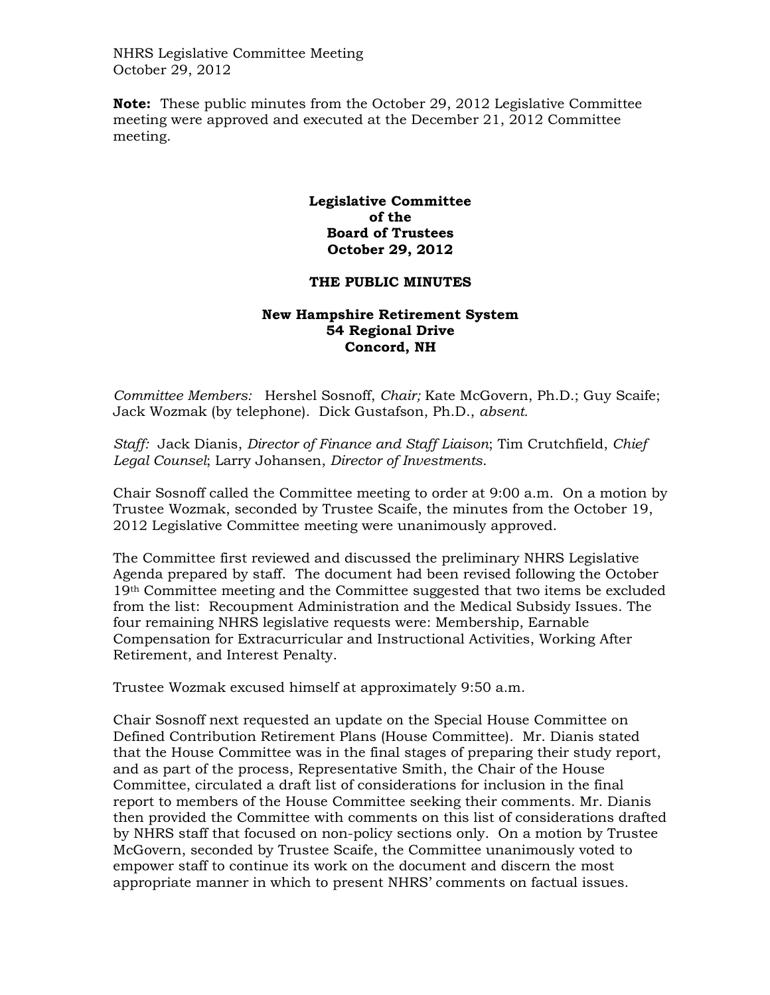NHRS Legislative Committee Meeting October 29, 2012

**Note:** These public minutes from the October 29, 2012 Legislative Committee meeting were approved and executed at the December 21, 2012 Committee meeting.

## **Legislative Committee of the Board of Trustees October 29, 2012**

## **THE PUBLIC MINUTES**

## **New Hampshire Retirement System 54 Regional Drive Concord, NH**

*Committee Members:* Hershel Sosnoff, *Chair;* Kate McGovern, Ph.D.; Guy Scaife; Jack Wozmak (by telephone). Dick Gustafson, Ph.D., *absent.* 

*Staff:* Jack Dianis, *Director of Finance and Staff Liaison*; Tim Crutchfield, *Chief Legal Counsel*; Larry Johansen, *Director of Investments*.

Chair Sosnoff called the Committee meeting to order at 9:00 a.m. On a motion by Trustee Wozmak, seconded by Trustee Scaife, the minutes from the October 19, 2012 Legislative Committee meeting were unanimously approved.

The Committee first reviewed and discussed the preliminary NHRS Legislative Agenda prepared by staff. The document had been revised following the October 19th Committee meeting and the Committee suggested that two items be excluded from the list: Recoupment Administration and the Medical Subsidy Issues. The four remaining NHRS legislative requests were: Membership, Earnable Compensation for Extracurricular and Instructional Activities, Working After Retirement, and Interest Penalty.

Trustee Wozmak excused himself at approximately 9:50 a.m.

Chair Sosnoff next requested an update on the Special House Committee on Defined Contribution Retirement Plans (House Committee). Mr. Dianis stated that the House Committee was in the final stages of preparing their study report, and as part of the process, Representative Smith, the Chair of the House Committee, circulated a draft list of considerations for inclusion in the final report to members of the House Committee seeking their comments. Mr. Dianis then provided the Committee with comments on this list of considerations drafted by NHRS staff that focused on non-policy sections only. On a motion by Trustee McGovern, seconded by Trustee Scaife, the Committee unanimously voted to empower staff to continue its work on the document and discern the most appropriate manner in which to present NHRS' comments on factual issues.